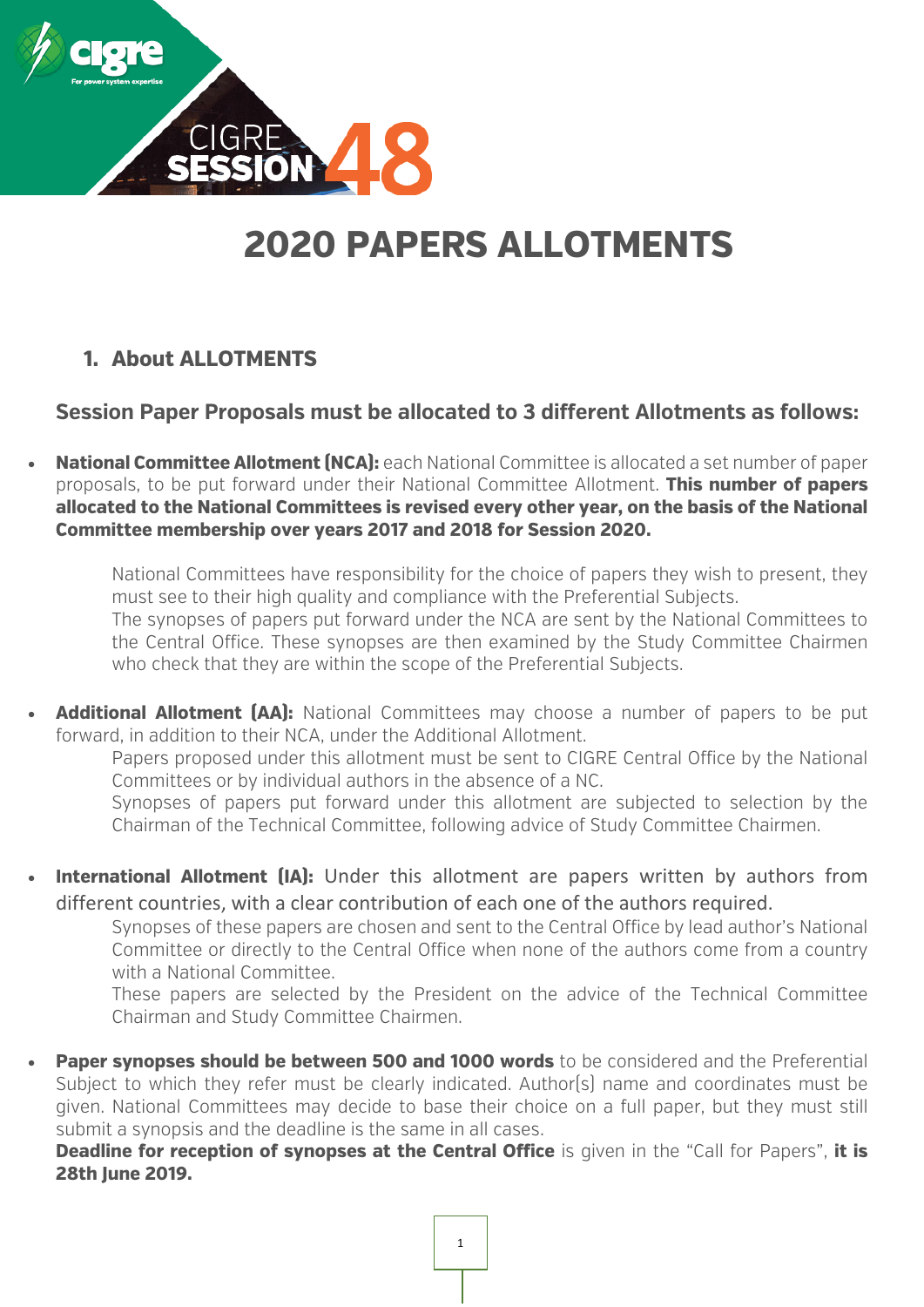

# **2020 PAPERS ALLOTMENTS**

# **1. About ALLOTMENTS**

**Session Paper Proposals must be allocated to 3 different Allotments as follows:**

• **National Committee Allotment (NCA):** each National Committee is allocated a set number of paper proposals, to be put forward under their National Committee Allotment. **This number of papers allocated to the National Committees is revised every other year, on the basis of the National Committee membership over years 2017 and 2018 for Session 2020.**

National Committees have responsibility for the choice of papers they wish to present, they must see to their high quality and compliance with the Preferential Subjects. The synopses of papers put forward under the NCA are sent by the National Committees to the Central Office. These synopses are then examined by the Study Committee Chairmen who check that they are within the scope of the Preferential Subjects.

**Additional Allotment (AA):** National Committees may choose a number of papers to be put forward, in addition to their NCA, under the Additional Allotment.

Papers proposed under this allotment must be sent to CIGRE Central Office by the National Committees or by individual authors in the absence of a NC.

Synopses of papers put forward under this allotment are subjected to selection by the Chairman of the Technical Committee, following advice of Study Committee Chairmen.

**International Allotment (IA):** Under this allotment are papers written by authors from different countries, with a clear contribution of each one of the authors required.

Synopses of these papers are chosen and sent to the Central Office by lead author's National Committee or directly to the Central Office when none of the authors come from a country with a National Committee.

These papers are selected by the President on the advice of the Technical Committee Chairman and Study Committee Chairmen.

**Paper synopses should be between 500 and 1000 words** to be considered and the Preferential Subject to which they refer must be clearly indicated. Author(s) name and coordinates must be given. National Committees may decide to base their choice on a full paper, but they must still submit a synopsis and the deadline is the same in all cases.

**Deadline for reception of synopses at the Central Office** is given in the "Call for Papers", it is **28th June 2019.**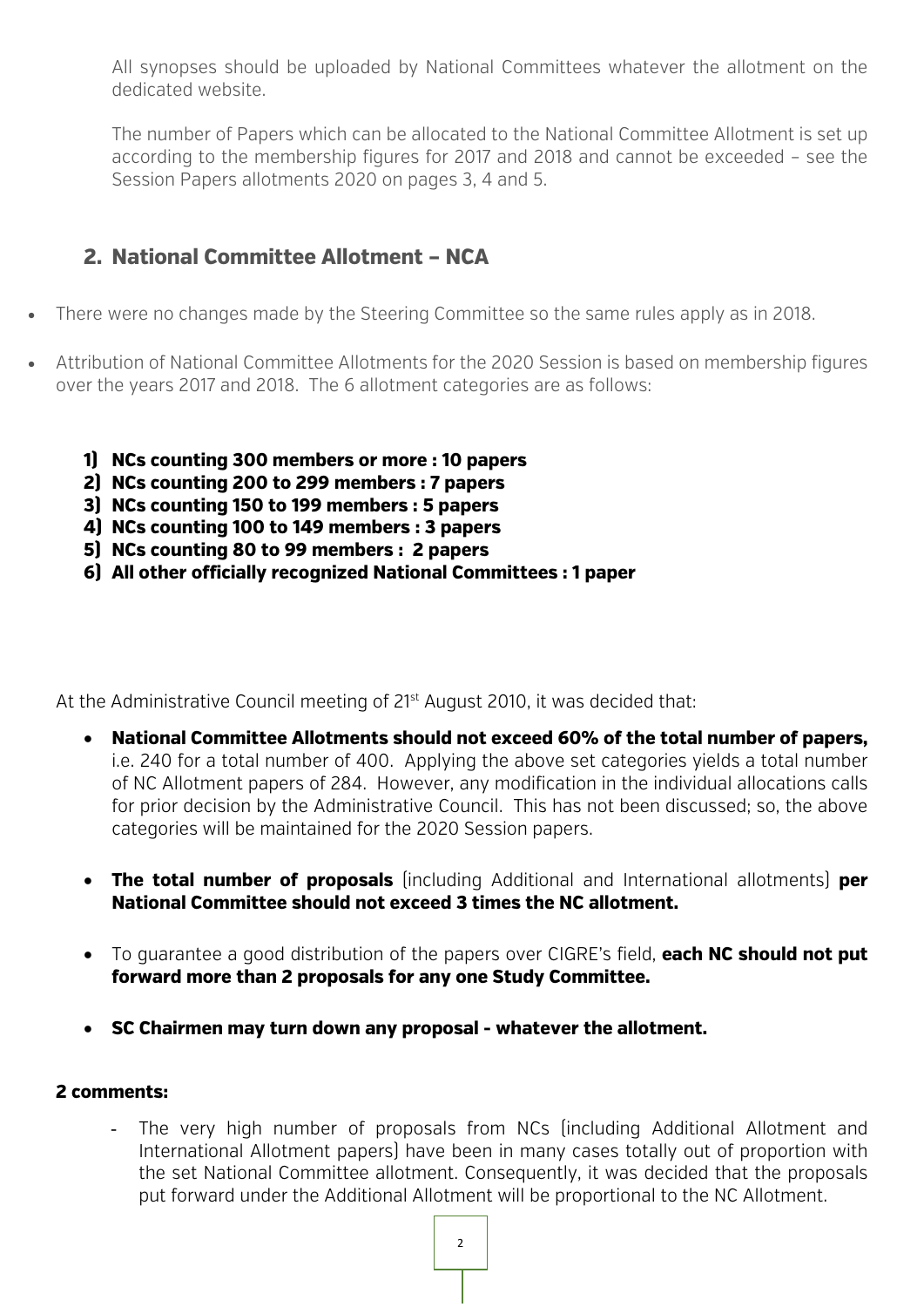All synopses should be uploaded by National Committees whatever the allotment on the dedicated website.

The number of Papers which can be allocated to the National Committee Allotment is set up according to the membership figures for 2017 and 2018 and cannot be exceeded – see the Session Papers allotments 2020 on pages 3, 4 and 5.

## **2. National Committee Allotment – NCA**

- There were no changes made by the Steering Committee so the same rules apply as in 2018.
- Attribution of National Committee Allotments for the 2020 Session is based on membership figures over the years 2017 and 2018. The 6 allotment categories are as follows:
	- **1) NCs counting 300 members or more : 10 papers**
	- **2) NCs counting 200 to 299 members : 7 papers**
	- **3) NCs counting 150 to 199 members : 5 papers**
	- **4) NCs counting 100 to 149 members : 3 papers**
	- **5) NCs counting 80 to 99 members : 2 papers**
	- **6) All other officially recognized National Committees : 1 paper**

At the Administrative Council meeting of 21<sup>st</sup> August 2010, it was decided that:

- **National Committee Allotments should not exceed 60% of the total number of papers,**  i.e. 240 for a total number of 400.Applying the above set categories yields a total number of NC Allotment papers of 284. However, any modification in the individual allocations calls for prior decision by the Administrative Council. This has not been discussed; so, the above categories will be maintained for the 2020 Session papers.
- **The total number of proposals** (including Additional and International allotments) **per National Committee should not exceed 3 times the NC allotment.**
- To guarantee a good distribution of the papers over CIGRE's field, **each NC should not put forward more than 2 proposals for any one Study Committee.**
- **SC Chairmen may turn down any proposal - whatever the allotment.**

#### **2 comments:**

The very high number of proposals from NCs (including Additional Allotment and International Allotment papers) have been in many cases totally out of proportion with the set National Committee allotment. Consequently, it was decided that the proposals put forward under the Additional Allotment will be proportional to the NC Allotment.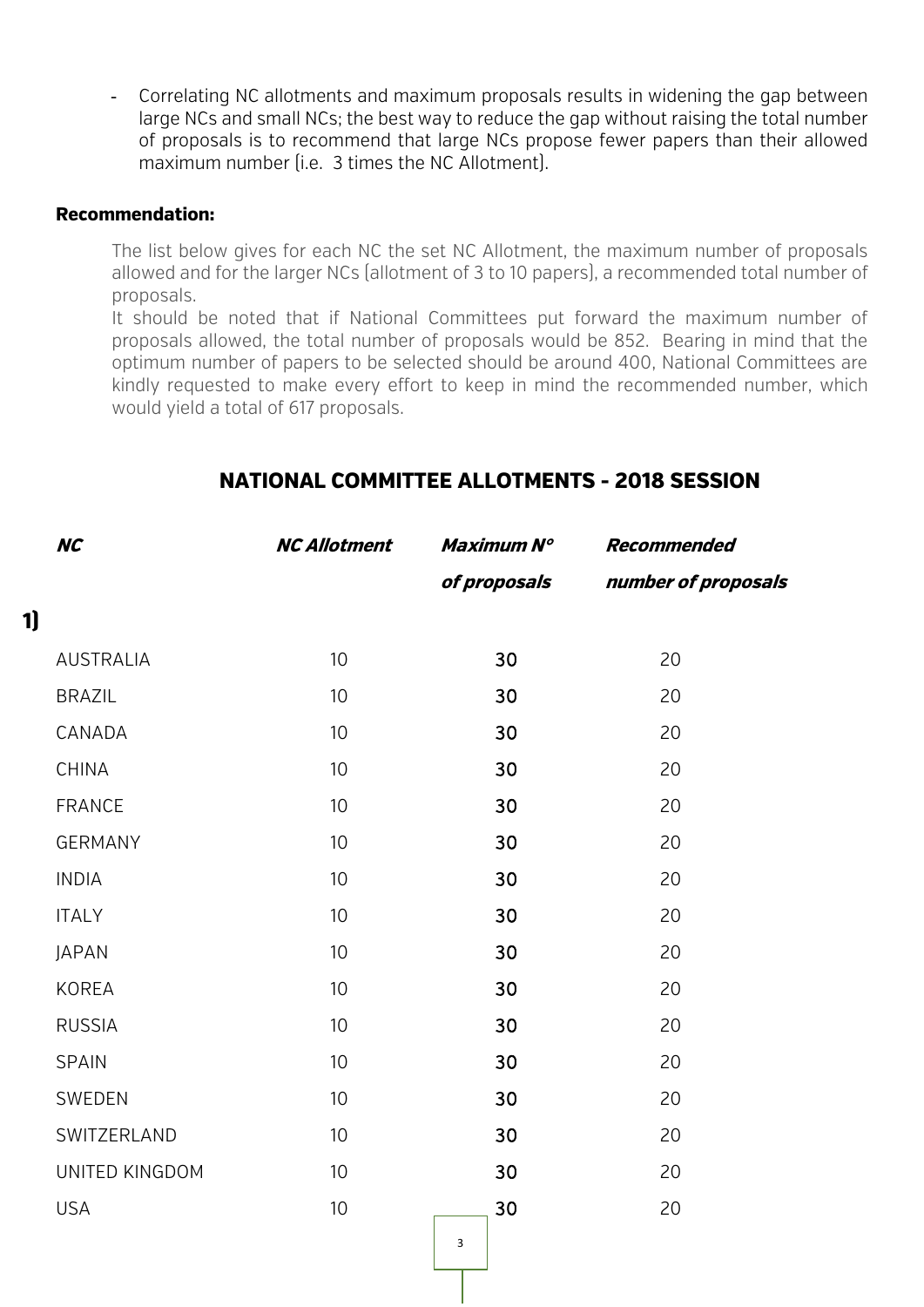- Correlating NC allotments and maximum proposals results in widening the gap between large NCs and small NCs; the best way to reduce the gap without raising the total number of proposals is to recommend that large NCs propose fewer papers than their allowed maximum number (i.e. 3 times the NC Allotment).

#### **Recommendation:**

**1)**

The list below gives for each NC the set NC Allotment, the maximum number of proposals allowed and for the larger NCs (allotment of 3 to 10 papers), a recommended total number of proposals.

It should be noted that if National Committees put forward the maximum number of proposals allowed, the total number of proposals would be 852. Bearing in mind that the optimum number of papers to be selected should be around 400, National Committees are kindly requested to make every effort to keep in mind the recommended number, which would yield a total of 617 proposals.

| <b>NC</b>        | <b>NC Allotment</b> | Maximum N°   | <b>Recommended</b>  |
|------------------|---------------------|--------------|---------------------|
|                  |                     | of proposals | number of proposals |
|                  |                     |              |                     |
| <b>AUSTRALIA</b> | 10                  | 30           | 20                  |
| <b>BRAZIL</b>    | 10                  | 30           | 20                  |
| CANADA           | 10                  | 30           | 20                  |
| <b>CHINA</b>     | 10                  | 30           | 20                  |
| <b>FRANCE</b>    | 10                  | 30           | 20                  |
| <b>GERMANY</b>   | 10                  | 30           | 20                  |
| <b>INDIA</b>     | 10                  | 30           | 20                  |
| <b>ITALY</b>     | 10                  | 30           | 20                  |
| <b>JAPAN</b>     | 10                  | 30           | 20                  |
| <b>KOREA</b>     | 10                  | 30           | 20                  |
| <b>RUSSIA</b>    | 10                  | 30           | 20                  |
| <b>SPAIN</b>     | 10                  | 30           | 20                  |
| SWEDEN           | 10                  | 30           | 20                  |
| SWITZERLAND      | 10                  | 30           | 20                  |
| UNITED KINGDOM   | 10                  | 30           | 20                  |
| <b>USA</b>       | 10                  | 30           | 20                  |
|                  |                     |              |                     |

3

### **NATIONAL COMMITTEE ALLOTMENTS - 2018 SESSION**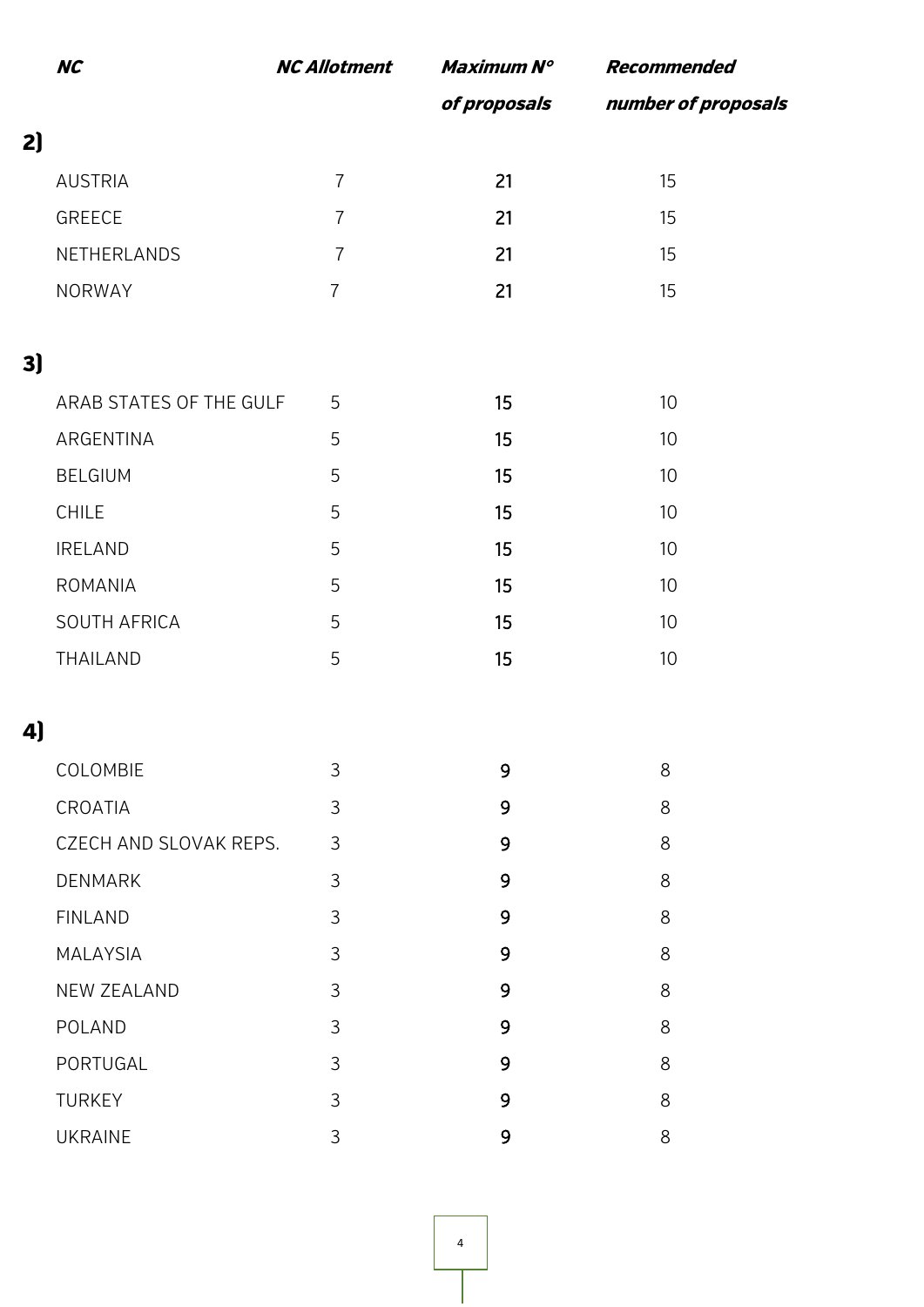|    | <b>NC</b>               | <b>NC Allotment</b> | Maximum N°   | <b>Recommended</b>  |
|----|-------------------------|---------------------|--------------|---------------------|
|    |                         |                     | of proposals | number of proposals |
| 2  |                         |                     |              |                     |
|    | <b>AUSTRIA</b>          | $\overline{7}$      | 21           | 15                  |
|    | GREECE                  | $\overline{7}$      | 21           | 15                  |
|    | NETHERLANDS             | $\overline{7}$      | 21           | 15                  |
|    | NORWAY                  | $\overline{7}$      | 21           | 15                  |
|    |                         |                     |              |                     |
| 3) |                         |                     |              |                     |
|    | ARAB STATES OF THE GULF | 5                   | 15           | 10                  |
|    | ARGENTINA               | 5                   | 15           | 10                  |
|    | <b>BELGIUM</b>          | 5                   | 15           | 10                  |
|    | CHILE                   | 5                   | 15           | $10$                |
|    | <b>IRELAND</b>          | 5                   | 15           | 10                  |
|    | <b>ROMANIA</b>          | 5                   | 15           | 10                  |
|    | SOUTH AFRICA            | 5                   | 15           | 10                  |
|    | THAILAND                | 5                   | 15           | $10$                |
|    |                         |                     |              |                     |
| 4) |                         |                     |              |                     |
|    | COLOMBIE                | 3                   | 9            | 8                   |
|    | CROATIA                 | 3                   | 9            | 8                   |
|    | CZECH AND SLOVAK REPS.  | 3                   | 9            | 8                   |
|    | <b>DENMARK</b>          | 3                   | 9            | 8                   |
|    | <b>FINLAND</b>          | 3                   | 9            | 8                   |
|    | <b>MALAYSIA</b>         | 3                   | 9            | 8                   |
|    | <b>NEW ZEALAND</b>      | 3                   | 9            | 8                   |
|    | POLAND                  | 3                   | 9            | 8                   |
|    | PORTUGAL                | 3                   | 9            | 8                   |
|    | <b>TURKEY</b>           | 3                   | 9            | 8                   |
|    | <b>UKRAINE</b>          | 3                   | 9            | 8                   |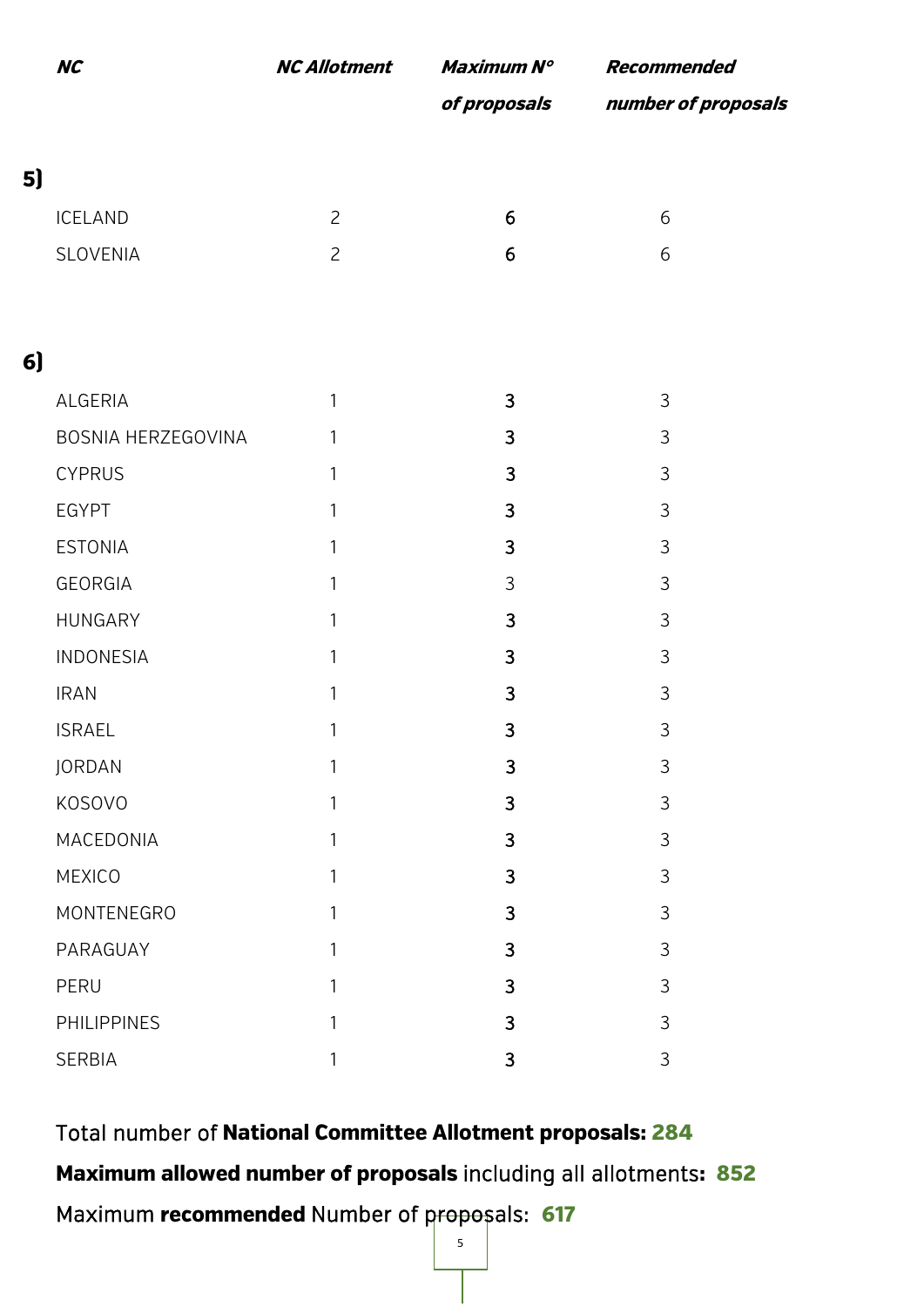|    | <b>NC</b>          | <b>NC Allotment</b> | Maximum N°   | Recommended         |
|----|--------------------|---------------------|--------------|---------------------|
|    |                    |                     | of proposals | number of proposals |
| 5) |                    |                     |              |                     |
|    | <b>ICELAND</b>     | $\overline{c}$      | 6            | 6                   |
|    | SLOVENIA           | $\overline{c}$      | 6            | 6                   |
|    |                    |                     |              |                     |
| 6  |                    |                     |              |                     |
|    | ALGERIA            | 1                   | 3            | 3                   |
|    | BOSNIA HERZEGOVINA | 1                   | 3            | 3                   |
|    | <b>CYPRUS</b>      | 1                   | 3            | 3                   |
|    | <b>EGYPT</b>       | $\mathbf{1}$        | 3            | 3                   |
|    | <b>ESTONIA</b>     | $\mathbf{1}$        | 3            | 3                   |
|    | <b>GEORGIA</b>     | 1                   | 3            | 3                   |
|    | HUNGARY            | $\mathbf{1}$        | 3            | 3                   |
|    | INDONESIA          | $\mathbf{1}$        | 3            | 3                   |
|    | <b>IRAN</b>        | $\mathbf{1}$        | 3            | 3                   |
|    | <b>ISRAEL</b>      | 1                   | 3            | 3                   |
|    | JORDAN             | 1                   | 3            | 3                   |
|    | KOSOVO             | 1                   | 3            | 3                   |
|    | MACEDONIA          | $\mathbf{1}$        | 3            | 3                   |
|    | MEXICO             | 1                   | 3            | 3                   |
|    | MONTENEGRO         | 1                   | 3            | 3                   |
|    | PARAGUAY           | 1                   | 3            | 3                   |
|    | PERU               | 1                   | 3            | 3                   |
|    | <b>PHILIPPINES</b> | 1                   | 3            | 3                   |
|    | SERBIA             | 1                   | 3            | 3                   |

Total number of **National Committee Allotment proposals: 284 Maximum allowed number of proposals** including all allotments**: 852** Maximum **recommended** Number of proposals: **617**

5